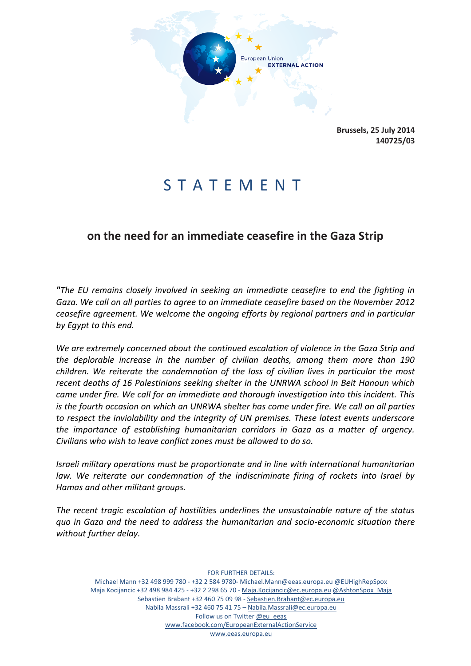

**Brussels, 25 July 2014 140725/03**

## S T A T E M E N T

## **on the need for an immediate ceasefire in the Gaza Strip**

*"The EU remains closely involved in seeking an immediate ceasefire to end the fighting in Gaza. We call on all parties to agree to an immediate ceasefire based on the November 2012 ceasefire agreement. We welcome the ongoing efforts by regional partners and in particular by Egypt to this end.* 

*We are extremely concerned about the continued escalation of violence in the Gaza Strip and the deplorable increase in the number of civilian deaths, among them more than 190 children. We reiterate the condemnation of the loss of civilian lives in particular the most recent deaths of 16 Palestinians seeking shelter in the UNRWA school in Beit Hanoun which came under fire. We call for an immediate and thorough investigation into this incident. This is the fourth occasion on which an UNRWA shelter has come under fire. We call on all parties to respect the inviolability and the integrity of UN premises. These latest events underscore the importance of establishing humanitarian corridors in Gaza as a matter of urgency. Civilians who wish to leave conflict zones must be allowed to do so.* 

*Israeli military operations must be proportionate and in line with international humanitarian law. We reiterate our condemnation of the indiscriminate firing of rockets into Israel by Hamas and other militant groups.*

*The recent tragic escalation of hostilities underlines the unsustainable nature of the status quo in Gaza and the need to address the humanitarian and socio-economic situation there without further delay.* 

FOR FURTHER DETAILS: Michael Mann +32 498 999 780 - +32 2 584 9780- [Michael.Mann@eeas.europa.eu](file:///C:/Users/lievrde/AppData/Local/Microsoft/Windows/Temporary%20Internet%20Files/Content.Outlook/B3E41T5W/Michael.Mann@eeas.europa.eu) [@EUHighRepSpox](https://twitter.com/EUHighRepSpox) Maja Kocijancic +32 498 984 425 - +32 2 298 65 70 - [Maja.Kocijancic@ec.europa.eu](file:///C:/Users/lievrde/AppData/Local/Microsoft/Windows/Temporary%20Internet%20Files/Content.Outlook/B3E41T5W/Maja.Kocijancic@ec.europa.eu) [@AshtonSpox\\_Maja](https://twitter.com/AshtonSpox_Maja) Sebastien Brabant +32 460 75 09 98 - [Sebastien.Brabant@ec.europa.eu](file:///C:/Users/lievrde/AppData/Local/Microsoft/Windows/Temporary%20Internet%20Files/Content.Outlook/B3E41T5W/Sebastien.Brabant@ec.europa.eu) Nabila Massrali +32 460 75 41 75 – [Nabila.Massrali@ec.europa.eu](mailto:Nabila.Massrali@ec.europa.eu) Follow us on Twitter [@eu\\_eeas](https://twitter.com/eu_eeas) [www.facebook.com/EuropeanExternalActionService](http://www.facebook.com/EuropeanExternalActionService) [www.eeas.europa.eu](file:///C:/Users/lievrde/AppData/Local/Microsoft/Windows/Temporary%20Internet%20Files/Content.Outlook/B3E41T5W/www.eeas.europa.eu)